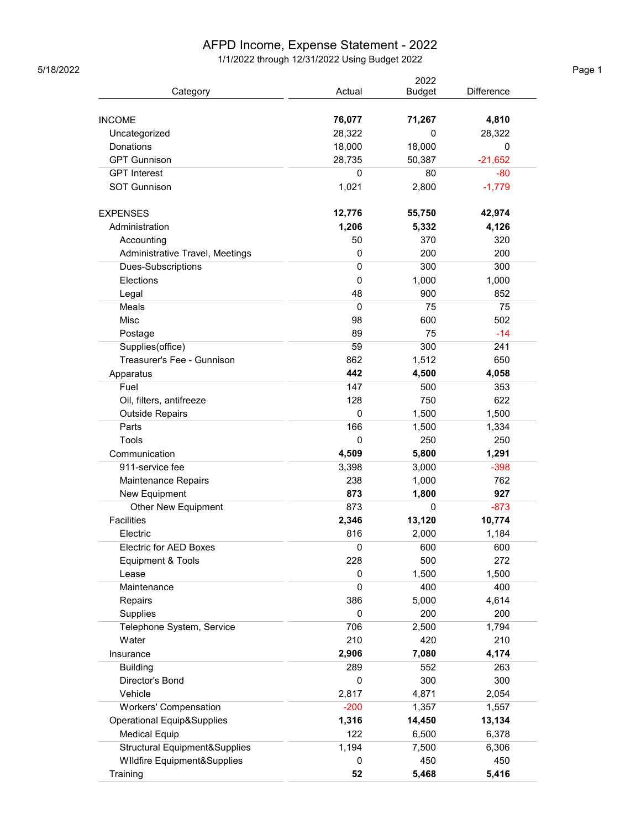## AFPD Income, Expense Statement - 2022

1/1/2022 through 12/31/2022 Using Budget 2022 5/18/2022 Page 1

|                                            |                  | 2022          |                   |
|--------------------------------------------|------------------|---------------|-------------------|
| Category                                   | Actual           | <b>Budget</b> | <b>Difference</b> |
|                                            |                  |               |                   |
| <b>INCOME</b>                              | 76,077<br>28,322 | 71,267<br>0   | 4,810             |
| Uncategorized<br>Donations                 |                  |               | 28,322            |
| <b>GPT Gunnison</b>                        | 18,000           | 18,000        | 0                 |
|                                            | 28,735           | 50,387        | $-21,652$         |
| <b>GPT</b> Interest<br><b>SOT Gunnison</b> | 0                | 80            | $-80$             |
|                                            | 1,021            | 2,800         | $-1,779$          |
| <b>EXPENSES</b>                            | 12,776           | 55,750        | 42,974            |
| Administration                             | 1,206            | 5,332         | 4,126             |
| Accounting                                 | 50               | 370           | 320               |
| Administrative Travel, Meetings            | 0                | 200           | 200               |
| Dues-Subscriptions                         | $\mathbf 0$      | 300           | 300               |
| Elections                                  | 0                | 1,000         | 1,000             |
| Legal                                      | 48               | 900           | 852               |
| Meals                                      | $\mathbf 0$      | 75            | 75                |
| Misc                                       | 98               | 600           | 502               |
| Postage                                    | 89               | 75            | $-14$             |
| Supplies(office)                           | 59               | 300           | 241               |
| Treasurer's Fee - Gunnison                 | 862              | 1,512         | 650               |
| Apparatus                                  | 442              | 4,500         | 4,058             |
| Fuel                                       | 147              | 500           | 353               |
| Oil, filters, antifreeze                   | 128              | 750           | 622               |
| <b>Outside Repairs</b>                     | $\mathbf 0$      | 1,500         | 1,500             |
| Parts                                      | 166              | 1,500         | 1,334             |
| Tools                                      | 0                | 250           | 250               |
| Communication                              | 4,509            | 5,800         | 1,291             |
| 911-service fee                            | 3,398            | 3,000         | $-398$            |
| Maintenance Repairs                        | 238              | 1,000         | 762               |
| New Equipment                              | 873              | 1,800         | 927               |
| <b>Other New Equipment</b>                 | 873              | 0             | $-873$            |
| <b>Facilities</b>                          | 2,346            | 13,120        | 10,774            |
| Electric                                   | 816              | 2,000         | 1,184             |
| Electric for AED Boxes                     | 0                | 600           | 600               |
| Equipment & Tools                          | 228              | 500           | 272               |
| Lease                                      | 0                | 1,500         | 1,500             |
| Maintenance                                | $\mathbf 0$      | 400           | 400               |
| Repairs                                    | 386              | 5,000         | 4,614             |
| Supplies                                   | 0                | 200           | 200               |
| Telephone System, Service                  | 706              | 2,500         | 1,794             |
| Water                                      | 210              | 420           | 210               |
| Insurance                                  | 2,906            | 7,080         | 4,174             |
| <b>Building</b>                            | 289              | 552           | 263               |
| Director's Bond                            | 0                | 300           | 300               |
| Vehicle                                    | 2,817            | 4,871         | 2,054             |
| Workers' Compensation                      | $-200$           | 1,357         | 1,557             |
| <b>Operational Equip&amp;Supplies</b>      | 1,316            | 14,450        | 13,134            |
| <b>Medical Equip</b>                       | 122              | 6,500         | 6,378             |
| Structural Equipment&Supplies              | 1,194            | 7,500         | 6,306             |
| <b>WIldfire Equipment&amp;Supplies</b>     | 0                | 450           | 450               |
| Training                                   | 52               | 5,468         | 5,416             |